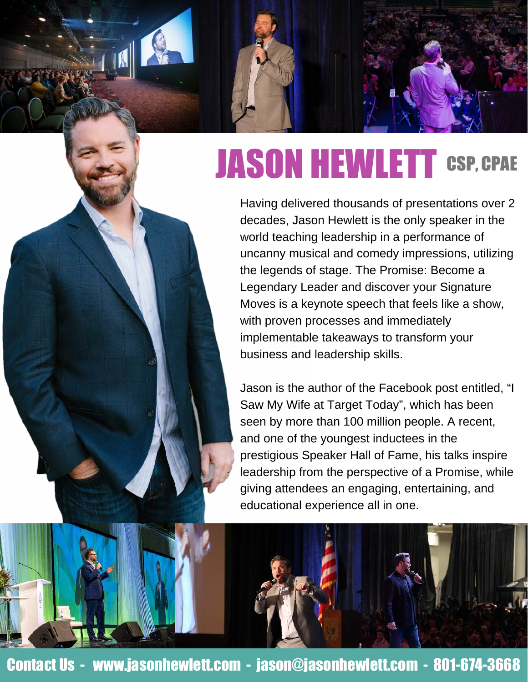## JASON HEWLETT CSP, CPAE

Having delivered thousands of presentations over 2 decades, Jason Hewlett is the only speaker in the world teaching leadership in a performance of uncanny musical and comedy impressions, utilizing the legends of stage. The Promise: Become a Legendary Leader and discover your Signature Moves is a keynote speech that feels like a show, with proven processes and immediately implementable takeaways to transform your business and leadership skills.

Jason is the author of the Facebook post entitled, "I Saw My Wife at Target Today", which has been seen by more than 100 million people. A recent, and one of the youngest inductees in the prestigious Speaker Hall of Fame, his talks inspire leadership from the perspective of a Promise, while giving attendees an engaging, entertaining, and educational experience all in one.